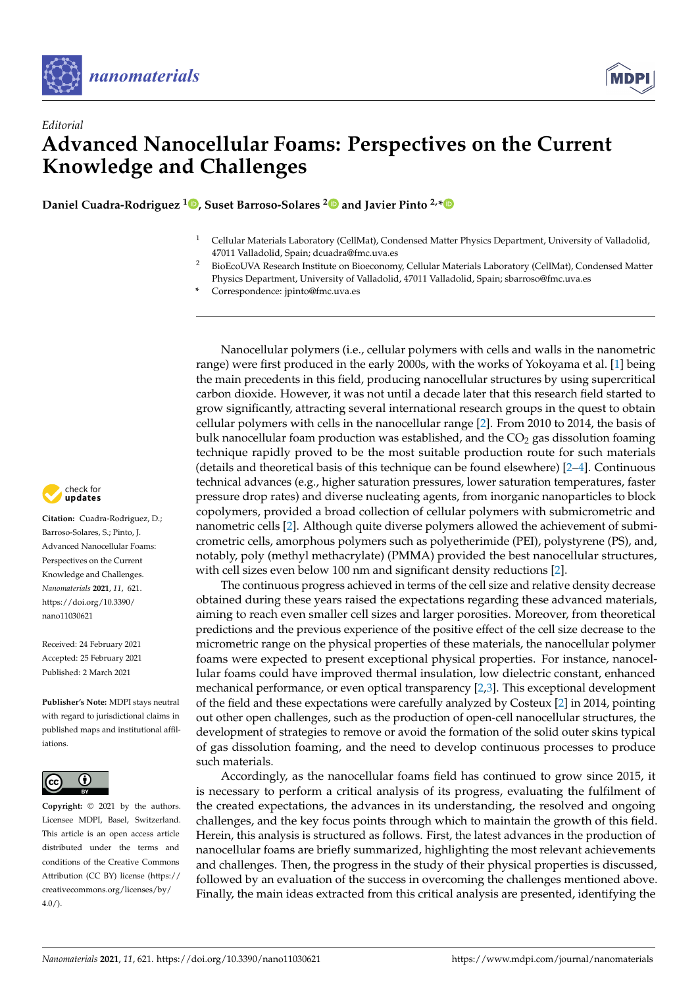



## *Editorial* **Advanced Nanocellular Foams: Perspectives on the Current Knowledge and Challenges**

**Daniel Cuadra-Rodriguez [1](https://orcid.org/0000-0001-6604-2527) , Suset Barroso-Solares [2](https://orcid.org/0000-0002-2311-1905) and Javier Pinto 2,[\\*](https://orcid.org/0000-0003-3155-8325)**

- $1$  Cellular Materials Laboratory (CellMat), Condensed Matter Physics Department, University of Valladolid, 47011 Valladolid, Spain; dcuadra@fmc.uva.es
- <sup>2</sup> BioEcoUVA Research Institute on Bioeconomy, Cellular Materials Laboratory (CellMat), Condensed Matter Physics Department, University of Valladolid, 47011 Valladolid, Spain; sbarroso@fmc.uva.es
- **\*** Correspondence: jpinto@fmc.uva.es

Nanocellular polymers (i.e., cellular polymers with cells and walls in the nanometric range) were first produced in the early 2000s, with the works of Yokoyama et al. [\[1\]](#page-5-0) being the main precedents in this field, producing nanocellular structures by using supercritical carbon dioxide. However, it was not until a decade later that this research field started to grow significantly, attracting several international research groups in the quest to obtain cellular polymers with cells in the nanocellular range [\[2\]](#page-5-1). From 2010 to 2014, the basis of bulk nanocellular foam production was established, and the  $CO<sub>2</sub>$  gas dissolution foaming technique rapidly proved to be the most suitable production route for such materials (details and theoretical basis of this technique can be found elsewhere) [\[2](#page-5-1)[–4\]](#page-5-2). Continuous technical advances (e.g., higher saturation pressures, lower saturation temperatures, faster pressure drop rates) and diverse nucleating agents, from inorganic nanoparticles to block copolymers, provided a broad collection of cellular polymers with submicrometric and nanometric cells [\[2\]](#page-5-1). Although quite diverse polymers allowed the achievement of submicrometric cells, amorphous polymers such as polyetherimide (PEI), polystyrene (PS), and, notably, poly (methyl methacrylate) (PMMA) provided the best nanocellular structures, with cell sizes even below 100 nm and significant density reductions [\[2\]](#page-5-1).

The continuous progress achieved in terms of the cell size and relative density decrease obtained during these years raised the expectations regarding these advanced materials, aiming to reach even smaller cell sizes and larger porosities. Moreover, from theoretical predictions and the previous experience of the positive effect of the cell size decrease to the micrometric range on the physical properties of these materials, the nanocellular polymer foams were expected to present exceptional physical properties. For instance, nanocellular foams could have improved thermal insulation, low dielectric constant, enhanced mechanical performance, or even optical transparency [\[2,](#page-5-1)[3\]](#page-5-3). This exceptional development of the field and these expectations were carefully analyzed by Costeux [\[2\]](#page-5-1) in 2014, pointing out other open challenges, such as the production of open-cell nanocellular structures, the development of strategies to remove or avoid the formation of the solid outer skins typical of gas dissolution foaming, and the need to develop continuous processes to produce such materials.

Accordingly, as the nanocellular foams field has continued to grow since 2015, it is necessary to perform a critical analysis of its progress, evaluating the fulfilment of the created expectations, the advances in its understanding, the resolved and ongoing challenges, and the key focus points through which to maintain the growth of this field. Herein, this analysis is structured as follows. First, the latest advances in the production of nanocellular foams are briefly summarized, highlighting the most relevant achievements and challenges. Then, the progress in the study of their physical properties is discussed, followed by an evaluation of the success in overcoming the challenges mentioned above. Finally, the main ideas extracted from this critical analysis are presented, identifying the



**Citation:** Cuadra-Rodriguez, D.; Barroso-Solares, S.; Pinto, J. Advanced Nanocellular Foams: Perspectives on the Current Knowledge and Challenges. *Nanomaterials* **2021**, *11*, 621. [https://doi.org/10.3390/](https://doi.org/10.3390/nano11030621) [nano11030621](https://doi.org/10.3390/nano11030621)

Received: 24 February 2021 Accepted: 25 February 2021 Published: 2 March 2021

**Publisher's Note:** MDPI stays neutral with regard to jurisdictional claims in published maps and institutional affiliations.



**Copyright:** © 2021 by the authors. Licensee MDPI, Basel, Switzerland. This article is an open access article distributed under the terms and conditions of the Creative Commons Attribution (CC BY) license (https:/[/](https://creativecommons.org/licenses/by/4.0/) [creativecommons.org/licenses/by/](https://creativecommons.org/licenses/by/4.0/) 4.0/).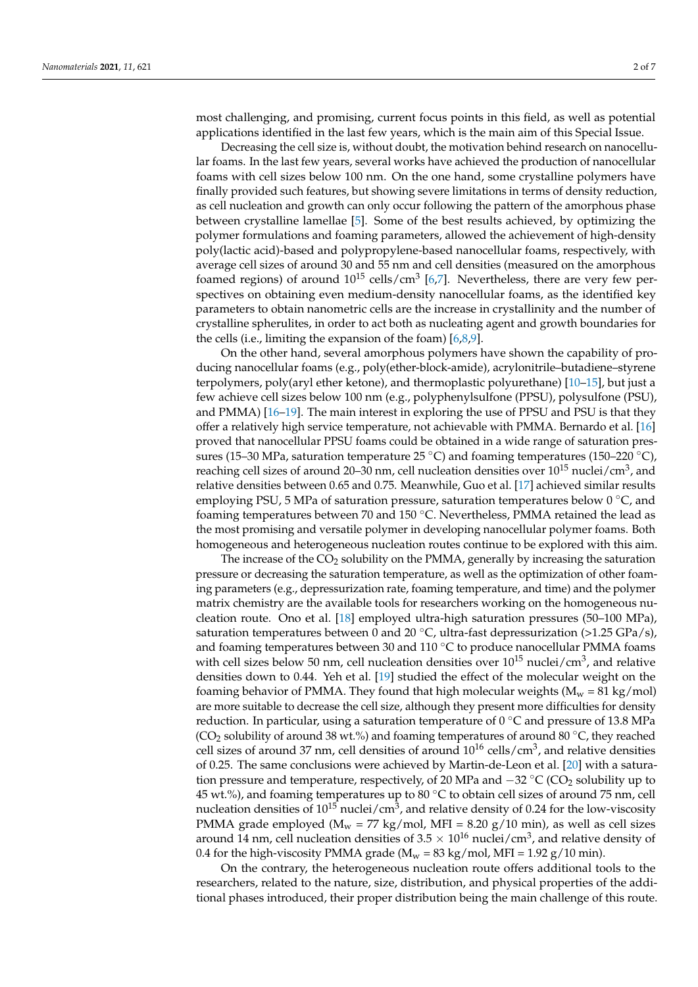most challenging, and promising, current focus points in this field, as well as potential applications identified in the last few years, which is the main aim of this Special Issue.

Decreasing the cell size is, without doubt, the motivation behind research on nanocellular foams. In the last few years, several works have achieved the production of nanocellular foams with cell sizes below 100 nm. On the one hand, some crystalline polymers have finally provided such features, but showing severe limitations in terms of density reduction, as cell nucleation and growth can only occur following the pattern of the amorphous phase between crystalline lamellae [\[5\]](#page-5-4). Some of the best results achieved, by optimizing the polymer formulations and foaming parameters, allowed the achievement of high-density poly(lactic acid)-based and polypropylene-based nanocellular foams, respectively, with average cell sizes of around 30 and 55 nm and cell densities (measured on the amorphous foamed regions) of around  $10^{15}$  cells/cm<sup>3</sup> [\[6,](#page-5-5)[7\]](#page-5-6). Nevertheless, there are very few perspectives on obtaining even medium-density nanocellular foams, as the identified key parameters to obtain nanometric cells are the increase in crystallinity and the number of crystalline spherulites, in order to act both as nucleating agent and growth boundaries for the cells (i.e., limiting the expansion of the foam) [\[6,](#page-5-5)[8,](#page-5-7)[9\]](#page-5-8).

On the other hand, several amorphous polymers have shown the capability of producing nanocellular foams (e.g., poly(ether-block-amide), acrylonitrile–butadiene–styrene terpolymers, poly(aryl ether ketone), and thermoplastic polyurethane) [\[10](#page-5-9)[–15\]](#page-5-10), but just a few achieve cell sizes below 100 nm (e.g., polyphenylsulfone (PPSU), polysulfone (PSU), and PMMA) [\[16](#page-5-11)[–19\]](#page-5-12). The main interest in exploring the use of PPSU and PSU is that they offer a relatively high service temperature, not achievable with PMMA. Bernardo et al. [\[16\]](#page-5-11) proved that nanocellular PPSU foams could be obtained in a wide range of saturation pressures (15–30 MPa, saturation temperature 25 °C) and foaming temperatures (150–220 °C), reaching cell sizes of around 20–30 nm, cell nucleation densities over  $10^{15}$  nuclei/cm $^3$ , and relative densities between 0.65 and 0.75. Meanwhile, Guo et al. [\[17\]](#page-5-13) achieved similar results employing PSU, 5 MPa of saturation pressure, saturation temperatures below 0 ◦C, and foaming temperatures between 70 and 150 °C. Nevertheless, PMMA retained the lead as the most promising and versatile polymer in developing nanocellular polymer foams. Both homogeneous and heterogeneous nucleation routes continue to be explored with this aim.

The increase of the  $CO<sub>2</sub>$  solubility on the PMMA, generally by increasing the saturation pressure or decreasing the saturation temperature, as well as the optimization of other foaming parameters (e.g., depressurization rate, foaming temperature, and time) and the polymer matrix chemistry are the available tools for researchers working on the homogeneous nucleation route. Ono et al. [\[18\]](#page-5-14) employed ultra-high saturation pressures (50–100 MPa), saturation temperatures between 0 and 20 °C, ultra-fast depressurization (>1.25 GPa/s), and foaming temperatures between 30 and 110 ◦C to produce nanocellular PMMA foams with cell sizes below 50 nm, cell nucleation densities over  $10^{15}$  nuclei/cm<sup>3</sup>, and relative densities down to 0.44. Yeh et al. [\[19\]](#page-5-12) studied the effect of the molecular weight on the foaming behavior of PMMA. They found that high molecular weights ( $M_w = 81 \text{ kg/mol}$ ) are more suitable to decrease the cell size, although they present more difficulties for density reduction. In particular, using a saturation temperature of  $0^{\circ}$ C and pressure of 13.8 MPa (CO<sub>2</sub> solubility of around 38 wt.%) and foaming temperatures of around 80  $\degree$ C, they reached cell sizes of around 37 nm, cell densities of around  $10^{16}$  cells/cm<sup>3</sup>, and relative densities of 0.25. The same conclusions were achieved by Martin-de-Leon et al. [\[20\]](#page-6-0) with a saturation pressure and temperature, respectively, of 20 MPa and −32 ◦C (CO<sup>2</sup> solubility up to 45 wt.%), and foaming temperatures up to 80 °C to obtain cell sizes of around 75 nm, cell nucleation densities of  $10^{15}$  nuclei/cm $^3$ , and relative density of 0.24 for the low-viscosity PMMA grade employed ( $M_w = 77 \text{ kg/mol}$ , MFI = 8.20 g/10 min), as well as cell sizes around 14 nm, cell nucleation densities of 3.5  $\times$   $10^{16}$  nuclei/cm $^3$ , and relative density of 0.4 for the high-viscosity PMMA grade ( $M_w = 83$  kg/mol, MFI = 1.92 g/10 min).

On the contrary, the heterogeneous nucleation route offers additional tools to the researchers, related to the nature, size, distribution, and physical properties of the additional phases introduced, their proper distribution being the main challenge of this route.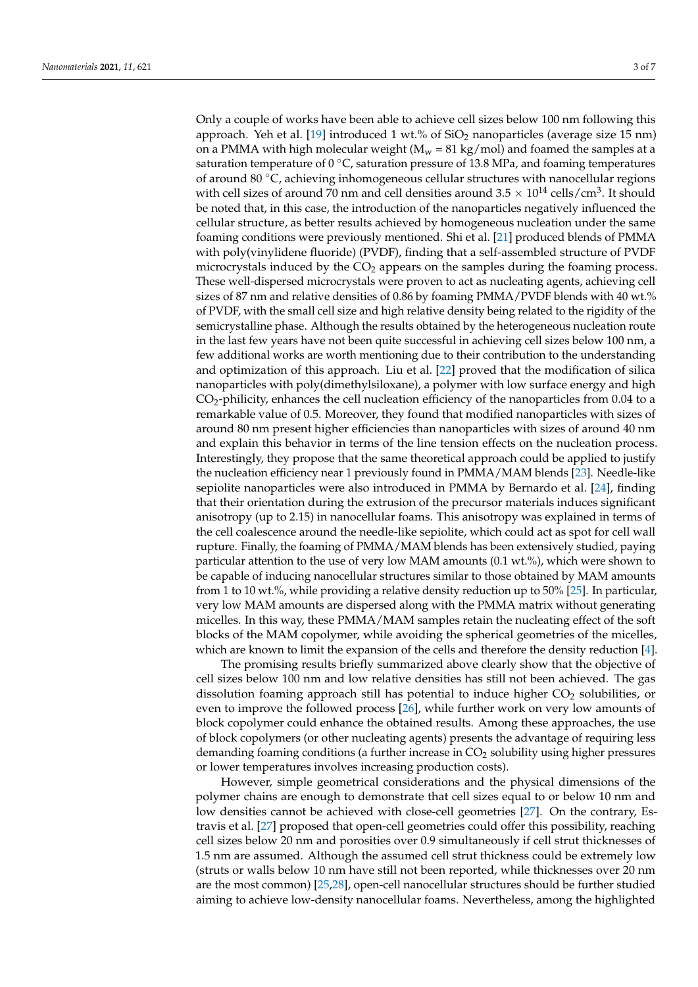Only a couple of works have been able to achieve cell sizes below 100 nm following this approach. Yeh et al. [\[19\]](#page-5-12) introduced 1 wt.% of  $SiO<sub>2</sub>$  nanoparticles (average size 15 nm) on a PMMA with high molecular weight ( $M_w = 81 \text{ kg/mol}$ ) and foamed the samples at a saturation temperature of  $0 °C$ , saturation pressure of 13.8 MPa, and foaming temperatures of around 80 ◦C, achieving inhomogeneous cellular structures with nanocellular regions with cell sizes of around 70 nm and cell densities around 3.5  $\times$   $10^{14}$  cells/cm $^3$ . It should be noted that, in this case, the introduction of the nanoparticles negatively influenced the cellular structure, as better results achieved by homogeneous nucleation under the same foaming conditions were previously mentioned. Shi et al. [\[21\]](#page-6-1) produced blends of PMMA with poly(vinylidene fluoride) (PVDF), finding that a self-assembled structure of PVDF microcrystals induced by the  $CO<sub>2</sub>$  appears on the samples during the foaming process. These well-dispersed microcrystals were proven to act as nucleating agents, achieving cell sizes of 87 nm and relative densities of 0.86 by foaming PMMA/PVDF blends with 40 wt.% of PVDF, with the small cell size and high relative density being related to the rigidity of the semicrystalline phase. Although the results obtained by the heterogeneous nucleation route in the last few years have not been quite successful in achieving cell sizes below 100 nm, a few additional works are worth mentioning due to their contribution to the understanding and optimization of this approach. Liu et al. [\[22\]](#page-6-2) proved that the modification of silica nanoparticles with poly(dimethylsiloxane), a polymer with low surface energy and high  $CO<sub>2</sub>$ -philicity, enhances the cell nucleation efficiency of the nanoparticles from 0.04 to a remarkable value of 0.5. Moreover, they found that modified nanoparticles with sizes of around 80 nm present higher efficiencies than nanoparticles with sizes of around 40 nm and explain this behavior in terms of the line tension effects on the nucleation process. Interestingly, they propose that the same theoretical approach could be applied to justify the nucleation efficiency near 1 previously found in PMMA/MAM blends [\[23\]](#page-6-3). Needle-like sepiolite nanoparticles were also introduced in PMMA by Bernardo et al. [\[24\]](#page-6-4), finding that their orientation during the extrusion of the precursor materials induces significant anisotropy (up to 2.15) in nanocellular foams. This anisotropy was explained in terms of the cell coalescence around the needle-like sepiolite, which could act as spot for cell wall rupture. Finally, the foaming of PMMA/MAM blends has been extensively studied, paying particular attention to the use of very low MAM amounts (0.1 wt.%), which were shown to be capable of inducing nanocellular structures similar to those obtained by MAM amounts from 1 to 10 wt.%, while providing a relative density reduction up to 50% [\[25\]](#page-6-5). In particular, very low MAM amounts are dispersed along with the PMMA matrix without generating micelles. In this way, these PMMA/MAM samples retain the nucleating effect of the soft blocks of the MAM copolymer, while avoiding the spherical geometries of the micelles, which are known to limit the expansion of the cells and therefore the density reduction [\[4\]](#page-5-2).

The promising results briefly summarized above clearly show that the objective of cell sizes below 100 nm and low relative densities has still not been achieved. The gas dissolution foaming approach still has potential to induce higher  $CO<sub>2</sub>$  solubilities, or even to improve the followed process [\[26\]](#page-6-6), while further work on very low amounts of block copolymer could enhance the obtained results. Among these approaches, the use of block copolymers (or other nucleating agents) presents the advantage of requiring less demanding foaming conditions (a further increase in  $CO<sub>2</sub>$  solubility using higher pressures or lower temperatures involves increasing production costs).

However, simple geometrical considerations and the physical dimensions of the polymer chains are enough to demonstrate that cell sizes equal to or below 10 nm and low densities cannot be achieved with close-cell geometries [\[27\]](#page-6-7). On the contrary, Estravis et al. [\[27\]](#page-6-7) proposed that open-cell geometries could offer this possibility, reaching cell sizes below 20 nm and porosities over 0.9 simultaneously if cell strut thicknesses of 1.5 nm are assumed. Although the assumed cell strut thickness could be extremely low (struts or walls below 10 nm have still not been reported, while thicknesses over 20 nm are the most common) [\[25,](#page-6-5)[28\]](#page-6-8), open-cell nanocellular structures should be further studied aiming to achieve low-density nanocellular foams. Nevertheless, among the highlighted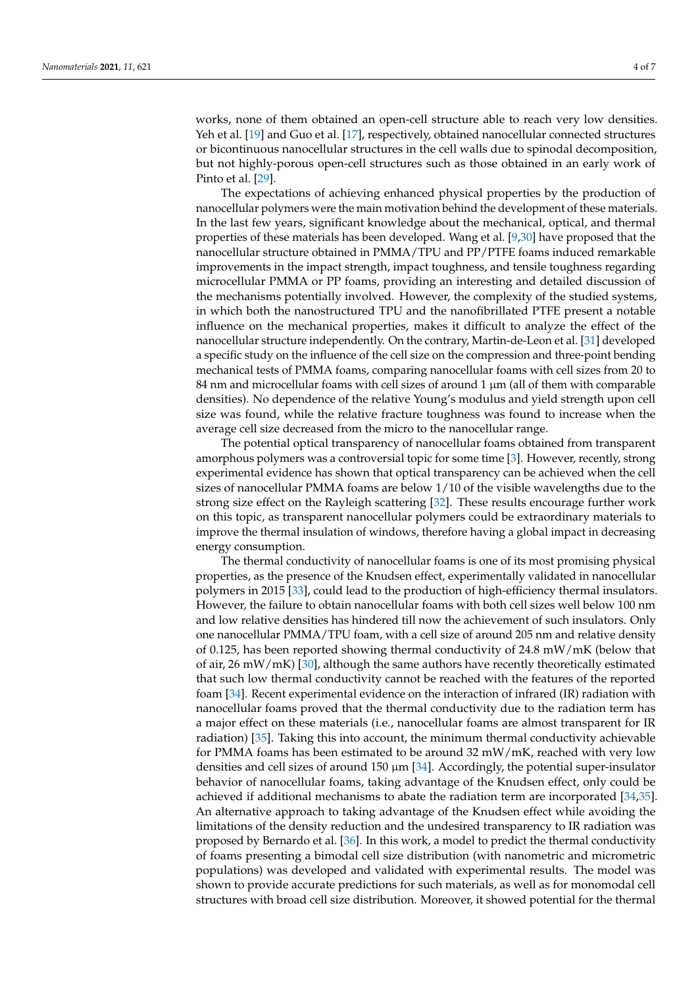works, none of them obtained an open-cell structure able to reach very low densities. Yeh et al. [\[19\]](#page-5-12) and Guo et al. [\[17\]](#page-5-13), respectively, obtained nanocellular connected structures or bicontinuous nanocellular structures in the cell walls due to spinodal decomposition, but not highly-porous open-cell structures such as those obtained in an early work of Pinto et al. [\[29\]](#page-6-9).

The expectations of achieving enhanced physical properties by the production of nanocellular polymers were the main motivation behind the development of these materials. In the last few years, significant knowledge about the mechanical, optical, and thermal properties of these materials has been developed. Wang et al. [\[9,](#page-5-8)[30\]](#page-6-10) have proposed that the nanocellular structure obtained in PMMA/TPU and PP/PTFE foams induced remarkable improvements in the impact strength, impact toughness, and tensile toughness regarding microcellular PMMA or PP foams, providing an interesting and detailed discussion of the mechanisms potentially involved. However, the complexity of the studied systems, in which both the nanostructured TPU and the nanofibrillated PTFE present a notable influence on the mechanical properties, makes it difficult to analyze the effect of the nanocellular structure independently. On the contrary, Martin-de-Leon et al. [\[31\]](#page-6-11) developed a specific study on the influence of the cell size on the compression and three-point bending mechanical tests of PMMA foams, comparing nanocellular foams with cell sizes from 20 to 84 nm and microcellular foams with cell sizes of around  $1 \mu m$  (all of them with comparable densities). No dependence of the relative Young's modulus and yield strength upon cell size was found, while the relative fracture toughness was found to increase when the average cell size decreased from the micro to the nanocellular range.

The potential optical transparency of nanocellular foams obtained from transparent amorphous polymers was a controversial topic for some time [\[3\]](#page-5-3). However, recently, strong experimental evidence has shown that optical transparency can be achieved when the cell sizes of nanocellular PMMA foams are below 1/10 of the visible wavelengths due to the strong size effect on the Rayleigh scattering [\[32\]](#page-6-12). These results encourage further work on this topic, as transparent nanocellular polymers could be extraordinary materials to improve the thermal insulation of windows, therefore having a global impact in decreasing energy consumption.

The thermal conductivity of nanocellular foams is one of its most promising physical properties, as the presence of the Knudsen effect, experimentally validated in nanocellular polymers in 2015 [\[33\]](#page-6-13), could lead to the production of high-efficiency thermal insulators. However, the failure to obtain nanocellular foams with both cell sizes well below 100 nm and low relative densities has hindered till now the achievement of such insulators. Only one nanocellular PMMA/TPU foam, with a cell size of around 205 nm and relative density of 0.125, has been reported showing thermal conductivity of 24.8 mW/mK (below that of air, 26 mW/mK) [\[30\]](#page-6-10), although the same authors have recently theoretically estimated that such low thermal conductivity cannot be reached with the features of the reported foam [\[34\]](#page-6-14). Recent experimental evidence on the interaction of infrared (IR) radiation with nanocellular foams proved that the thermal conductivity due to the radiation term has a major effect on these materials (i.e., nanocellular foams are almost transparent for IR radiation) [\[35\]](#page-6-15). Taking this into account, the minimum thermal conductivity achievable for PMMA foams has been estimated to be around 32 mW/mK, reached with very low densities and cell sizes of around 150 µm [\[34\]](#page-6-14). Accordingly, the potential super-insulator behavior of nanocellular foams, taking advantage of the Knudsen effect, only could be achieved if additional mechanisms to abate the radiation term are incorporated [\[34,](#page-6-14)[35\]](#page-6-15). An alternative approach to taking advantage of the Knudsen effect while avoiding the limitations of the density reduction and the undesired transparency to IR radiation was proposed by Bernardo et al. [\[36\]](#page-6-16). In this work, a model to predict the thermal conductivity of foams presenting a bimodal cell size distribution (with nanometric and micrometric populations) was developed and validated with experimental results. The model was shown to provide accurate predictions for such materials, as well as for monomodal cell structures with broad cell size distribution. Moreover, it showed potential for the thermal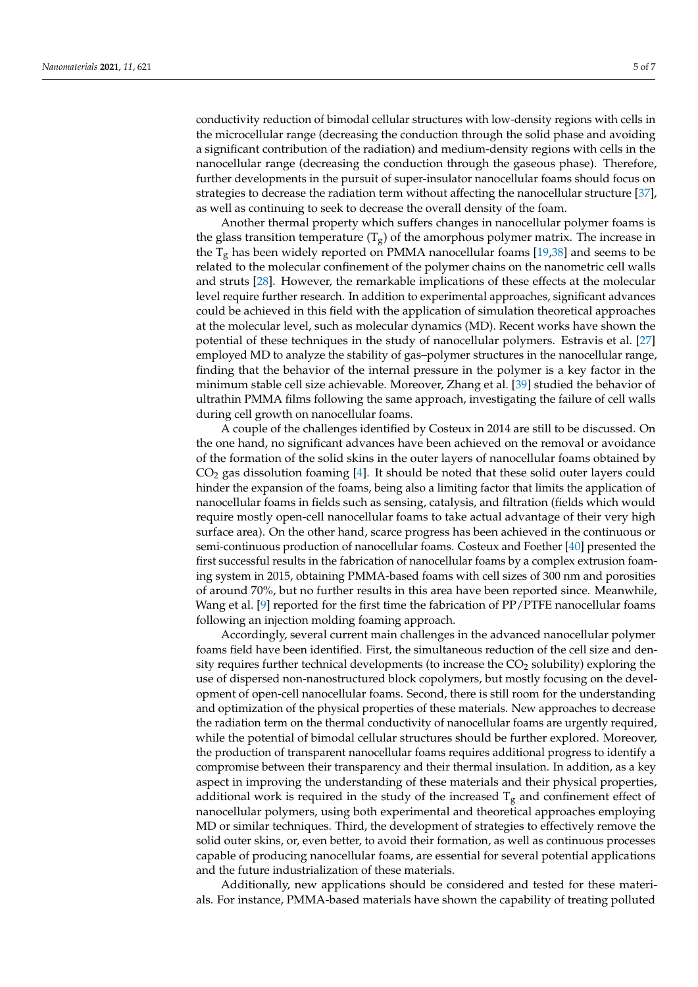conductivity reduction of bimodal cellular structures with low-density regions with cells in the microcellular range (decreasing the conduction through the solid phase and avoiding a significant contribution of the radiation) and medium-density regions with cells in the nanocellular range (decreasing the conduction through the gaseous phase). Therefore, further developments in the pursuit of super-insulator nanocellular foams should focus on strategies to decrease the radiation term without affecting the nanocellular structure [\[37\]](#page-6-17), as well as continuing to seek to decrease the overall density of the foam.

Another thermal property which suffers changes in nanocellular polymer foams is the glass transition temperature  $(T_g)$  of the amorphous polymer matrix. The increase in the  $T_g$  has been widely reported on PMMA nanocellular foams [\[19](#page-5-12)[,38\]](#page-6-18) and seems to be related to the molecular confinement of the polymer chains on the nanometric cell walls and struts [\[28\]](#page-6-8). However, the remarkable implications of these effects at the molecular level require further research. In addition to experimental approaches, significant advances could be achieved in this field with the application of simulation theoretical approaches at the molecular level, such as molecular dynamics (MD). Recent works have shown the potential of these techniques in the study of nanocellular polymers. Estravis et al. [\[27\]](#page-6-7) employed MD to analyze the stability of gas–polymer structures in the nanocellular range, finding that the behavior of the internal pressure in the polymer is a key factor in the minimum stable cell size achievable. Moreover, Zhang et al. [\[39\]](#page-6-19) studied the behavior of ultrathin PMMA films following the same approach, investigating the failure of cell walls during cell growth on nanocellular foams.

A couple of the challenges identified by Costeux in 2014 are still to be discussed. On the one hand, no significant advances have been achieved on the removal or avoidance of the formation of the solid skins in the outer layers of nanocellular foams obtained by  $CO<sub>2</sub>$  gas dissolution foaming [\[4\]](#page-5-2). It should be noted that these solid outer layers could hinder the expansion of the foams, being also a limiting factor that limits the application of nanocellular foams in fields such as sensing, catalysis, and filtration (fields which would require mostly open-cell nanocellular foams to take actual advantage of their very high surface area). On the other hand, scarce progress has been achieved in the continuous or semi-continuous production of nanocellular foams. Costeux and Foether [\[40\]](#page-6-20) presented the first successful results in the fabrication of nanocellular foams by a complex extrusion foaming system in 2015, obtaining PMMA-based foams with cell sizes of 300 nm and porosities of around 70%, but no further results in this area have been reported since. Meanwhile, Wang et al. [\[9\]](#page-5-8) reported for the first time the fabrication of PP/PTFE nanocellular foams following an injection molding foaming approach.

Accordingly, several current main challenges in the advanced nanocellular polymer foams field have been identified. First, the simultaneous reduction of the cell size and density requires further technical developments (to increase the  $CO<sub>2</sub>$  solubility) exploring the use of dispersed non-nanostructured block copolymers, but mostly focusing on the development of open-cell nanocellular foams. Second, there is still room for the understanding and optimization of the physical properties of these materials. New approaches to decrease the radiation term on the thermal conductivity of nanocellular foams are urgently required, while the potential of bimodal cellular structures should be further explored. Moreover, the production of transparent nanocellular foams requires additional progress to identify a compromise between their transparency and their thermal insulation. In addition, as a key aspect in improving the understanding of these materials and their physical properties, additional work is required in the study of the increased  $T_g$  and confinement effect of nanocellular polymers, using both experimental and theoretical approaches employing MD or similar techniques. Third, the development of strategies to effectively remove the solid outer skins, or, even better, to avoid their formation, as well as continuous processes capable of producing nanocellular foams, are essential for several potential applications and the future industrialization of these materials.

Additionally, new applications should be considered and tested for these materials. For instance, PMMA-based materials have shown the capability of treating polluted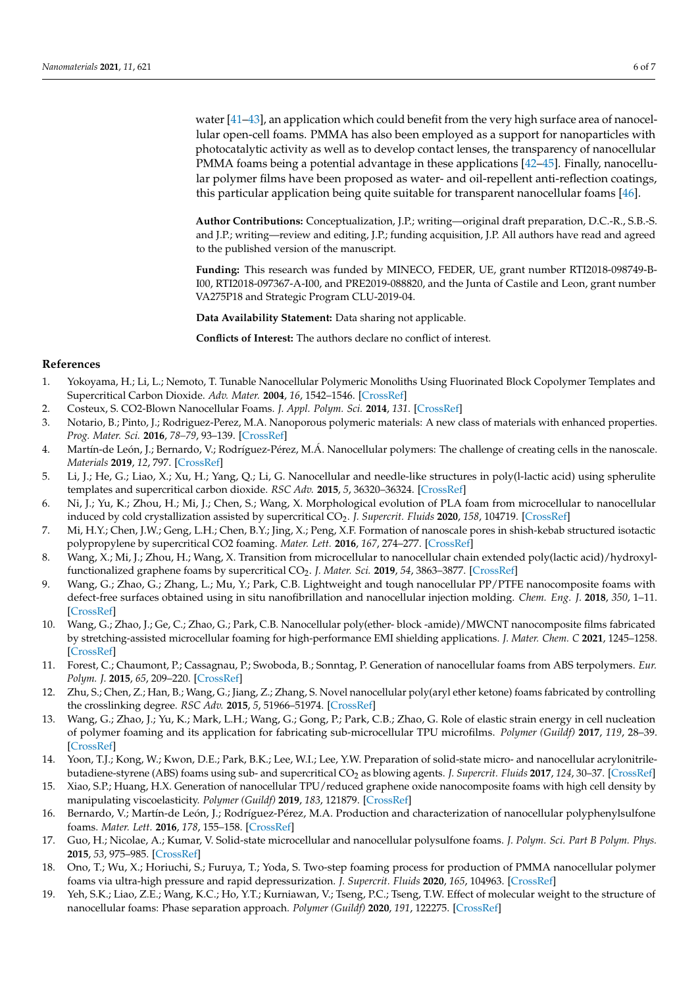water [\[41–](#page-6-21)[43\]](#page-6-22), an application which could benefit from the very high surface area of nanocellular open-cell foams. PMMA has also been employed as a support for nanoparticles with photocatalytic activity as well as to develop contact lenses, the transparency of nanocellular PMMA foams being a potential advantage in these applications [\[42–](#page-6-23)[45\]](#page-6-24). Finally, nanocellular polymer films have been proposed as water- and oil-repellent anti-reflection coatings, this particular application being quite suitable for transparent nanocellular foams [\[46\]](#page-6-25).

**Author Contributions:** Conceptualization, J.P.; writing—original draft preparation, D.C.-R., S.B.-S. and J.P.; writing—review and editing, J.P.; funding acquisition, J.P. All authors have read and agreed to the published version of the manuscript.

**Funding:** This research was funded by MINECO, FEDER, UE, grant number RTI2018-098749-B-I00, RTI2018-097367-A-I00, and PRE2019-088820, and the Junta of Castile and Leon, grant number VA275P18 and Strategic Program CLU-2019-04.

**Data Availability Statement:** Data sharing not applicable.

**Conflicts of Interest:** The authors declare no conflict of interest.

## **References**

- <span id="page-5-0"></span>1. Yokoyama, H.; Li, L.; Nemoto, T. Tunable Nanocellular Polymeric Monoliths Using Fluorinated Block Copolymer Templates and Supercritical Carbon Dioxide. *Adv. Mater.* **2004**, *16*, 1542–1546. [\[CrossRef\]](http://doi.org/10.1002/adma.200400072)
- <span id="page-5-1"></span>2. Costeux, S. CO2-Blown Nanocellular Foams. *J. Appl. Polym. Sci.* **2014**, *131*. [\[CrossRef\]](http://doi.org/10.1002/app.41293)
- <span id="page-5-3"></span>3. Notario, B.; Pinto, J.; Rodriguez-Perez, M.A. Nanoporous polymeric materials: A new class of materials with enhanced properties. *Prog. Mater. Sci.* **2016**, *78–79*, 93–139. [\[CrossRef\]](http://doi.org/10.1016/j.pmatsci.2016.02.002)
- <span id="page-5-2"></span>4. Martín-de León, J.; Bernardo, V.; Rodríguez-Pérez, M.Á. Nanocellular polymers: The challenge of creating cells in the nanoscale. *Materials* **2019**, *12*, 797. [\[CrossRef\]](http://doi.org/10.3390/ma12050797)
- <span id="page-5-4"></span>5. Li, J.; He, G.; Liao, X.; Xu, H.; Yang, Q.; Li, G. Nanocellular and needle-like structures in poly(l-lactic acid) using spherulite templates and supercritical carbon dioxide. *RSC Adv.* **2015**, *5*, 36320–36324. [\[CrossRef\]](http://doi.org/10.1039/C5RA03682H)
- <span id="page-5-5"></span>6. Ni, J.; Yu, K.; Zhou, H.; Mi, J.; Chen, S.; Wang, X. Morphological evolution of PLA foam from microcellular to nanocellular induced by cold crystallization assisted by supercritical CO<sub>2</sub>. *J. Supercrit. Fluids* **2020**, 158, 104719. [\[CrossRef\]](http://doi.org/10.1016/j.supflu.2019.104719)
- <span id="page-5-6"></span>7. Mi, H.Y.; Chen, J.W.; Geng, L.H.; Chen, B.Y.; Jing, X.; Peng, X.F. Formation of nanoscale pores in shish-kebab structured isotactic polypropylene by supercritical CO2 foaming. *Mater. Lett.* **2016**, *167*, 274–277. [\[CrossRef\]](http://doi.org/10.1016/j.matlet.2015.12.116)
- <span id="page-5-7"></span>8. Wang, X.; Mi, J.; Zhou, H.; Wang, X. Transition from microcellular to nanocellular chain extended poly(lactic acid)/hydroxylfunctionalized graphene foams by supercritical CO<sup>2</sup> . *J. Mater. Sci.* **2019**, *54*, 3863–3877. [\[CrossRef\]](http://doi.org/10.1007/s10853-018-3120-8)
- <span id="page-5-8"></span>9. Wang, G.; Zhao, G.; Zhang, L.; Mu, Y.; Park, C.B. Lightweight and tough nanocellular PP/PTFE nanocomposite foams with defect-free surfaces obtained using in situ nanofibrillation and nanocellular injection molding. *Chem. Eng. J.* **2018**, *350*, 1–11. [\[CrossRef\]](http://doi.org/10.1016/j.cej.2018.05.161)
- <span id="page-5-9"></span>10. Wang, G.; Zhao, J.; Ge, C.; Zhao, G.; Park, C.B. Nanocellular poly(ether- block -amide)/MWCNT nanocomposite films fabricated by stretching-assisted microcellular foaming for high-performance EMI shielding applications. *J. Mater. Chem. C* **2021**, 1245–1258. [\[CrossRef\]](http://doi.org/10.1039/D0TC04099A)
- 11. Forest, C.; Chaumont, P.; Cassagnau, P.; Swoboda, B.; Sonntag, P. Generation of nanocellular foams from ABS terpolymers. *Eur. Polym. J.* **2015**, *65*, 209–220. [\[CrossRef\]](http://doi.org/10.1016/j.eurpolymj.2014.11.006)
- 12. Zhu, S.; Chen, Z.; Han, B.; Wang, G.; Jiang, Z.; Zhang, S. Novel nanocellular poly(aryl ether ketone) foams fabricated by controlling the crosslinking degree. *RSC Adv.* **2015**, *5*, 51966–51974. [\[CrossRef\]](http://doi.org/10.1039/C5RA02891D)
- 13. Wang, G.; Zhao, J.; Yu, K.; Mark, L.H.; Wang, G.; Gong, P.; Park, C.B.; Zhao, G. Role of elastic strain energy in cell nucleation of polymer foaming and its application for fabricating sub-microcellular TPU microfilms. *Polymer (Guildf)* **2017**, *119*, 28–39. [\[CrossRef\]](http://doi.org/10.1016/j.polymer.2017.05.016)
- 14. Yoon, T.J.; Kong, W.; Kwon, D.E.; Park, B.K.; Lee, W.I.; Lee, Y.W. Preparation of solid-state micro- and nanocellular acrylonitrilebutadiene-styrene (ABS) foams using sub- and supercritical CO<sub>2</sub> as blowing agents. *J. Supercrit. Fluids* 2017, 124, 30-37. [\[CrossRef\]](http://doi.org/10.1016/j.supflu.2017.01.004)
- <span id="page-5-10"></span>15. Xiao, S.P.; Huang, H.X. Generation of nanocellular TPU/reduced graphene oxide nanocomposite foams with high cell density by manipulating viscoelasticity. *Polymer (Guildf)* **2019**, *183*, 121879. [\[CrossRef\]](http://doi.org/10.1016/j.polymer.2019.121879)
- <span id="page-5-11"></span>16. Bernardo, V.; Martín-de León, J.; Rodríguez-Pérez, M.A. Production and characterization of nanocellular polyphenylsulfone foams. *Mater. Lett.* **2016**, *178*, 155–158. [\[CrossRef\]](http://doi.org/10.1016/j.matlet.2016.05.002)
- <span id="page-5-13"></span>17. Guo, H.; Nicolae, A.; Kumar, V. Solid-state microcellular and nanocellular polysulfone foams. *J. Polym. Sci. Part B Polym. Phys.* **2015**, *53*, 975–985. [\[CrossRef\]](http://doi.org/10.1002/polb.23719)
- <span id="page-5-14"></span>18. Ono, T.; Wu, X.; Horiuchi, S.; Furuya, T.; Yoda, S. Two-step foaming process for production of PMMA nanocellular polymer foams via ultra-high pressure and rapid depressurization. *J. Supercrit. Fluids* **2020**, *165*, 104963. [\[CrossRef\]](http://doi.org/10.1016/j.supflu.2020.104963)
- <span id="page-5-12"></span>19. Yeh, S.K.; Liao, Z.E.; Wang, K.C.; Ho, Y.T.; Kurniawan, V.; Tseng, P.C.; Tseng, T.W. Effect of molecular weight to the structure of nanocellular foams: Phase separation approach. *Polymer (Guildf)* **2020**, *191*, 122275. [\[CrossRef\]](http://doi.org/10.1016/j.polymer.2020.122275)